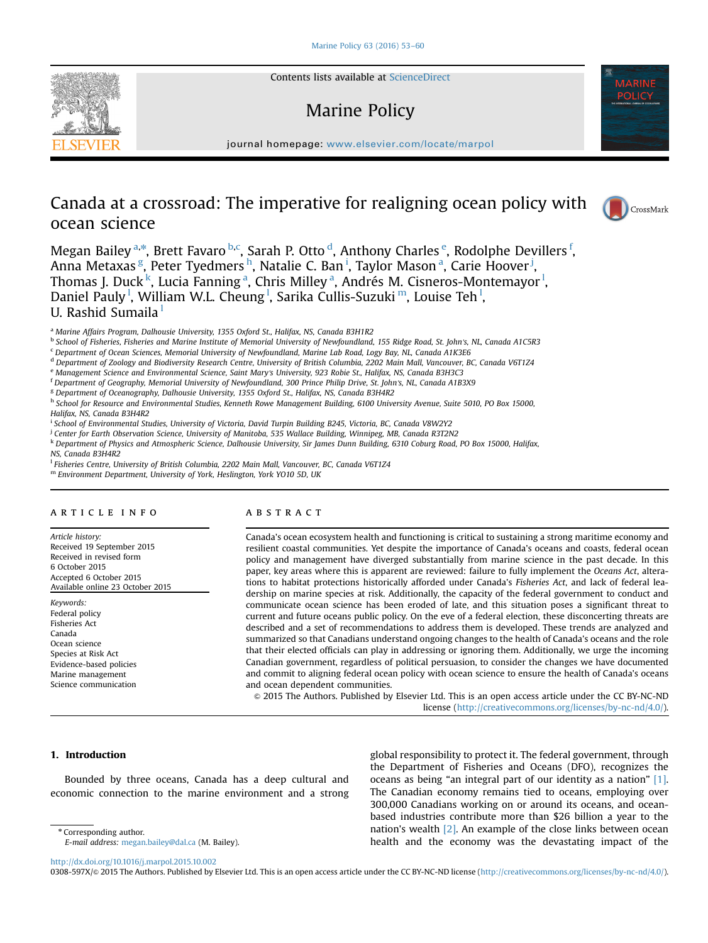

Contents lists available at [ScienceDirect](www.sciencedirect.com/science/journal/0308597X)

# Marine Policy

journal homepage: <www.elsevier.com/locate/marpol>

# Canada at a crossroad: The imperative for realigning ocean policy with ocean science



Megan Bailey <sup>a,\*</sup>, Brett Favaro <sup>b,c</sup>, Sarah P. Otto <sup>d</sup>, Anthony Charles <sup>e</sup>, Rodolphe Devillers <sup>f</sup>, Anna Metaxas <sup>g</sup>, Peter Tyedmers <sup>h</sup>, Natalie C. Ban <sup>i</sup>, Taylor Mason <sup>a</sup>, Carie Hoover <sup>j</sup>, Thomas J. Duck <sup>k</sup>, Lucia Fanning <sup>a</sup>, Chris Milley <sup>a</sup>, Andrés M. Cisneros-Montemayor <sup>l</sup>, Daniel Pauly<sup>1</sup>, William W.L. Cheung<sup>1</sup>, Sarika Cullis-Suzuki<sup>m</sup>, Louise Teh<sup>1</sup>, U. Rashid Sumaila

<sup>a</sup> Marine Affairs Program, Dalhousie University, 1355 Oxford St., Halifax, NS, Canada B3H1R2

<sup>b</sup> School of Fisheries, Fisheries and Marine Institute of Memorial University of Newfoundland, 155 Ridge Road, St. John's, NL, Canada A1C5R3

<sup>c</sup> Department of Ocean Sciences, Memorial University of Newfoundland, Marine Lab Road, Logy Bay, NL, Canada A1K3E6

<sup>d</sup> Department of Zoology and Biodiversity Research Centre, University of British Columbia, 2202 Main Mall, Vancouver, BC, Canada V6T1Z4

<sup>e</sup> Management Science and Environmental Science, Saint Mary's University, 923 Robie St., Halifax, NS, Canada B3H3C3

f Department of Geography, Memorial University of Newfoundland, 300 Prince Philip Drive, St. John's, NL, Canada A1B3X9

<sup>g</sup> Department of Oceanography, Dalhousie University, 1355 Oxford St., Halifax, NS, Canada B3H4R2

h School for Resource and Environmental Studies, Kenneth Rowe Management Building, 6100 University Avenue, Suite 5010, PO Box 15000,

Halifax, NS, Canada B3H4R2

i School of Environmental Studies, University of Victoria, David Turpin Building B245, Victoria, BC, Canada V8W2Y2

j Center for Earth Observation Science, University of Manitoba, 535 Wallace Building, Winnipeg, MB, Canada R3T2N2

<sup>k</sup> Department of Physics and Atmospheric Science, Dalhousie University, Sir James Dunn Building, 6310 Coburg Road, PO Box 15000, Halifax,

NS, Canada B3H4R2

<sup>1</sup> Fisheries Centre, University of British Columbia, 2202 Main Mall, Vancouver, BC, Canada V6T1Z4

<sup>m</sup> Environment Department, University of York, Heslington, York YO10 5D, UK

## article info

Article history: Received 19 September 2015 Received in revised form 6 October 2015 Accepted 6 October 2015 Available online 23 October 2015

Keywords: Federal policy Fisheries Act Canada Ocean science Species at Risk Act Evidence-based policies Marine management Science communication

#### **ABSTRACT**

Canada's ocean ecosystem health and functioning is critical to sustaining a strong maritime economy and resilient coastal communities. Yet despite the importance of Canada's oceans and coasts, federal ocean policy and management have diverged substantially from marine science in the past decade. In this paper, key areas where this is apparent are reviewed: failure to fully implement the Oceans Act, alterations to habitat protections historically afforded under Canada's Fisheries Act, and lack of federal leadership on marine species at risk. Additionally, the capacity of the federal government to conduct and communicate ocean science has been eroded of late, and this situation poses a significant threat to current and future oceans public policy. On the eve of a federal election, these disconcerting threats are described and a set of recommendations to address them is developed. These trends are analyzed and summarized so that Canadians understand ongoing changes to the health of Canada's oceans and the role that their elected officials can play in addressing or ignoring them. Additionally, we urge the incoming Canadian government, regardless of political persuasion, to consider the changes we have documented and commit to aligning federal ocean policy with ocean science to ensure the health of Canada's oceans and ocean dependent communities.

& 2015 The Authors. Published by Elsevier Ltd. This is an open access article under the CC BY-NC-ND license (http://creativecommons.org/licenses/by-nc-nd/4.0/).

## 1. Introduction

Bounded by three oceans, Canada has a deep cultural and economic connection to the marine environment and a strong

\* Corresponding author.

E-mail address: [megan.bailey@dal.ca](mailto:megan.bailey@dal.ca) (M. Bailey).

global responsibility to protect it. The federal government, through the Department of Fisheries and Oceans (DFO), recognizes the oceans as being "an integral part of our identity as a nation" [\[1\].](#page-6-0) The Canadian economy remains tied to oceans, employing over 300,000 Canadians working on or around its oceans, and oceanbased industries contribute more than \$26 billion a year to the nation's wealth [\[2\].](#page-6-0) An example of the close links between ocean health and the economy was the devastating impact of the

<http://dx.doi.org/10.1016/j.marpol.2015.10.002>

0308-597X/@2015 The Authors. Published by Elsevier Ltd. This is an open access article under the CC BY-NC-ND license (http://creativecommons.org/licenses/by-nc-nd/4.0/).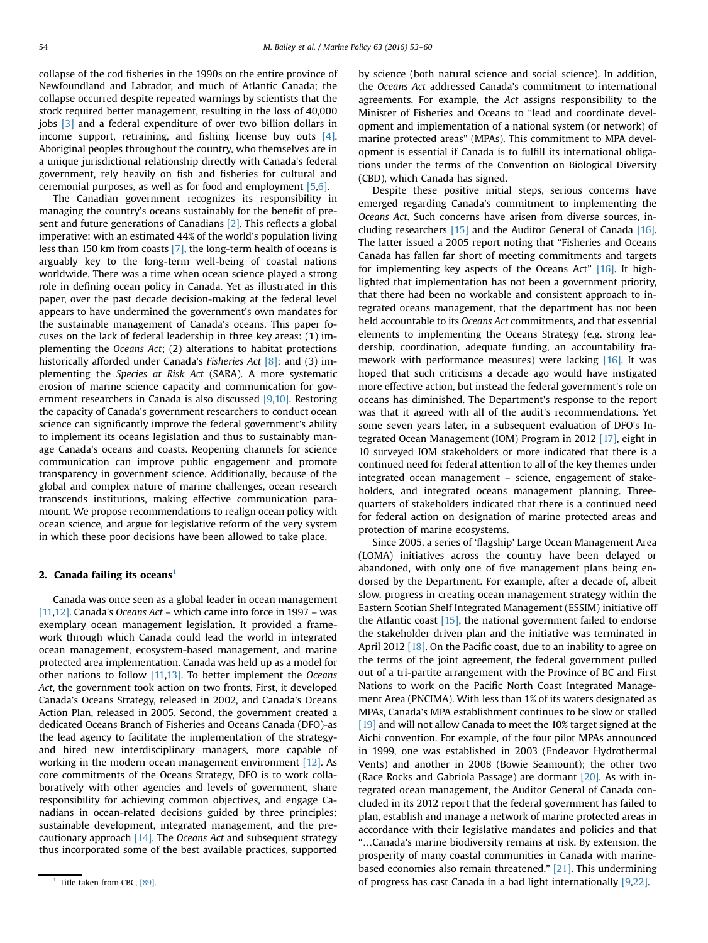collapse of the cod fisheries in the 1990s on the entire province of Newfoundland and Labrador, and much of Atlantic Canada; the collapse occurred despite repeated warnings by scientists that the stock required better management, resulting in the loss of 40,000 jobs [\[3\]](#page-6-0) and a federal expenditure of over two billion dollars in income support, retraining, and fishing license buy outs  $[4]$ . Aboriginal peoples throughout the country, who themselves are in a unique jurisdictional relationship directly with Canada's federal government, rely heavily on fish and fisheries for cultural and ceremonial purposes, as well as for food and employment [\[5,6\]](#page-6-0).

The Canadian government recognizes its responsibility in managing the country's oceans sustainably for the benefit of present and future generations of Canadians [\[2\].](#page-6-0) This reflects a global imperative: with an estimated 44% of the world's population living less than 150 km from coasts [\[7\],](#page-6-0) the long-term health of oceans is arguably key to the long-term well-being of coastal nations worldwide. There was a time when ocean science played a strong role in defining ocean policy in Canada. Yet as illustrated in this paper, over the past decade decision-making at the federal level appears to have undermined the government's own mandates for the sustainable management of Canada's oceans. This paper focuses on the lack of federal leadership in three key areas: (1) implementing the Oceans Act; (2) alterations to habitat protections historically afforded under Canada's Fisheries Act [\[8\]](#page-6-0); and (3) implementing the Species at Risk Act (SARA). A more systematic erosion of marine science capacity and communication for government researchers in Canada is also discussed [\[9,10\]](#page-6-0). Restoring the capacity of Canada's government researchers to conduct ocean science can significantly improve the federal government's ability to implement its oceans legislation and thus to sustainably manage Canada's oceans and coasts. Reopening channels for science communication can improve public engagement and promote transparency in government science. Additionally, because of the global and complex nature of marine challenges, ocean research transcends institutions, making effective communication paramount. We propose recommendations to realign ocean policy with ocean science, and argue for legislative reform of the very system in which these poor decisions have been allowed to take place.

## 2. Canada failing its oceans<sup>1</sup>

Canada was once seen as a global leader in ocean management [\[11,12\]](#page-6-0). Canada's Oceans Act – which came into force in 1997 – was exemplary ocean management legislation. It provided a framework through which Canada could lead the world in integrated ocean management, ecosystem-based management, and marine protected area implementation. Canada was held up as a model for other nations to follow [\[11,13\]](#page-6-0). To better implement the Oceans Act, the government took action on two fronts. First, it developed Canada's Oceans Strategy, released in 2002, and Canada's Oceans Action Plan, released in 2005. Second, the government created a dedicated Oceans Branch of Fisheries and Oceans Canada (DFO)-as the lead agency to facilitate the implementation of the strategyand hired new interdisciplinary managers, more capable of working in the modern ocean management environment [\[12\].](#page-6-0) As core commitments of the Oceans Strategy, DFO is to work collaboratively with other agencies and levels of government, share responsibility for achieving common objectives, and engage Canadians in ocean-related decisions guided by three principles: sustainable development, integrated management, and the precautionary approach  $[14]$ . The Oceans Act and subsequent strategy thus incorporated some of the best available practices, supported

by science (both natural science and social science). In addition, the Oceans Act addressed Canada's commitment to international agreements. For example, the Act assigns responsibility to the Minister of Fisheries and Oceans to "lead and coordinate development and implementation of a national system (or network) of marine protected areas" (MPAs). This commitment to MPA development is essential if Canada is to fulfill its international obligations under the terms of the Convention on Biological Diversity (CBD), which Canada has signed.

Despite these positive initial steps, serious concerns have emerged regarding Canada's commitment to implementing the Oceans Act. Such concerns have arisen from diverse sources, including researchers [\[15\]](#page-6-0) and the Auditor General of Canada [\[16\].](#page-6-0) The latter issued a 2005 report noting that "Fisheries and Oceans Canada has fallen far short of meeting commitments and targets for implementing key aspects of the Oceans Act" [\[16\].](#page-6-0) It highlighted that implementation has not been a government priority, that there had been no workable and consistent approach to integrated oceans management, that the department has not been held accountable to its Oceans Act commitments, and that essential elements to implementing the Oceans Strategy (e.g. strong leadership, coordination, adequate funding, an accountability framework with performance measures) were lacking [\[16\].](#page-6-0) It was hoped that such criticisms a decade ago would have instigated more effective action, but instead the federal government's role on oceans has diminished. The Department's response to the report was that it agreed with all of the audit's recommendations. Yet some seven years later, in a subsequent evaluation of DFO's Integrated Ocean Management (IOM) Program in 2012 [\[17\]](#page-6-0), eight in 10 surveyed IOM stakeholders or more indicated that there is a continued need for federal attention to all of the key themes under integrated ocean management – science, engagement of stakeholders, and integrated oceans management planning. Threequarters of stakeholders indicated that there is a continued need for federal action on designation of marine protected areas and protection of marine ecosystems.

Since 2005, a series of 'flagship' Large Ocean Management Area (LOMA) initiatives across the country have been delayed or abandoned, with only one of five management plans being endorsed by the Department. For example, after a decade of, albeit slow, progress in creating ocean management strategy within the Eastern Scotian Shelf Integrated Management (ESSIM) initiative off the Atlantic coast [\[15\]](#page-6-0), the national government failed to endorse the stakeholder driven plan and the initiative was terminated in April 2012 [\[18\].](#page-6-0) On the Pacific coast, due to an inability to agree on the terms of the joint agreement, the federal government pulled out of a tri-partite arrangement with the Province of BC and First Nations to work on the Pacific North Coast Integrated Management Area (PNCIMA). With less than 1% of its waters designated as MPAs, Canada's MPA establishment continues to be slow or stalled [\[19\]](#page-6-0) and will not allow Canada to meet the 10% target signed at the Aichi convention. For example, of the four pilot MPAs announced in 1999, one was established in 2003 (Endeavor Hydrothermal Vents) and another in 2008 (Bowie Seamount); the other two (Race Rocks and Gabriola Passage) are dormant [\[20\].](#page-6-0) As with integrated ocean management, the Auditor General of Canada concluded in its 2012 report that the federal government has failed to plan, establish and manage a network of marine protected areas in accordance with their legislative mandates and policies and that "…Canada's marine biodiversity remains at risk. By extension, the prosperity of many coastal communities in Canada with marinebased economies also remain threatened." [\[21\].](#page-6-0) This undermining <sup>1</sup> Title taken from CBC, [\[89\].](#page-7-0) **1** Title taken from CBC, [89]. **1** Title taken from CBC, [89].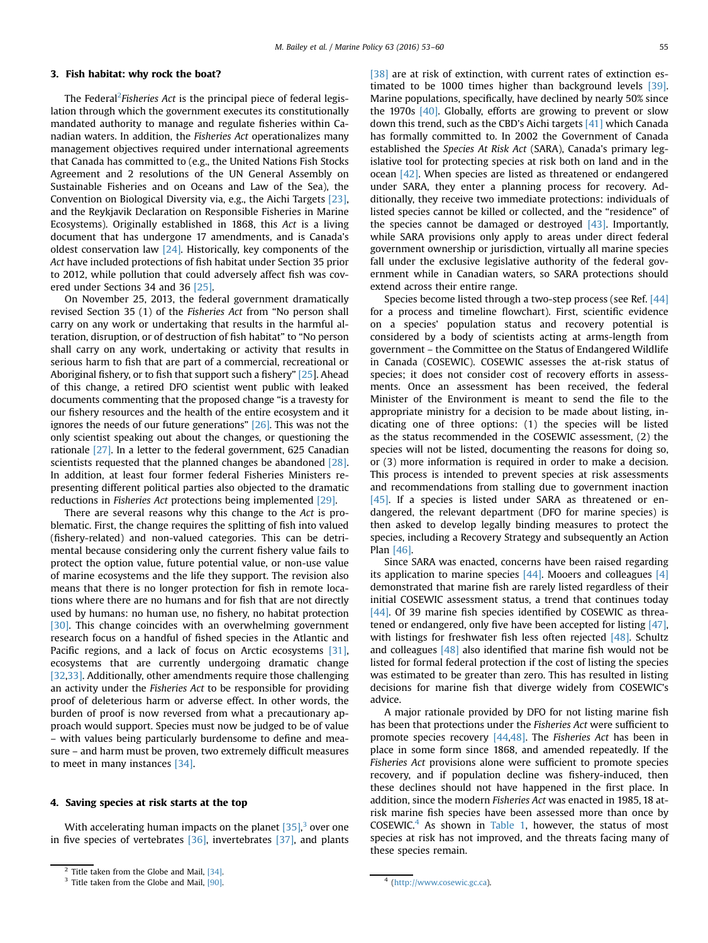#### 3. Fish habitat: why rock the boat?

The Federal<sup>2</sup>Fisheries Act is the principal piece of federal legislation through which the government executes its constitutionally mandated authority to manage and regulate fisheries within Canadian waters. In addition, the Fisheries Act operationalizes many management objectives required under international agreements that Canada has committed to (e.g., the United Nations Fish Stocks Agreement and 2 resolutions of the UN General Assembly on Sustainable Fisheries and on Oceans and Law of the Sea), the Convention on Biological Diversity via, e.g., the Aichi Targets [\[23\],](#page-6-0) and the Reykjavik Declaration on Responsible Fisheries in Marine Ecosystems). Originally established in 1868, this Act is a living document that has undergone 17 amendments, and is Canada's oldest conservation law [\[24\]](#page-6-0). Historically, key components of the Act have included protections of fish habitat under Section 35 prior to 2012, while pollution that could adversely affect fish was covered under Sections 34 and 36 [\[25\]](#page-6-0).

On November 25, 2013, the federal government dramatically revised Section 35 (1) of the Fisheries Act from "No person shall carry on any work or undertaking that results in the harmful alteration, disruption, or of destruction of fish habitat" to "No person shall carry on any work, undertaking or activity that results in serious harm to fish that are part of a commercial, recreational or Aboriginal fishery, or to fish that support such a fishery" [\[25](#page-6-0)]. Ahead of this change, a retired DFO scientist went public with leaked documents commenting that the proposed change "is a travesty for our fishery resources and the health of the entire ecosystem and it ignores the needs of our future generations" [\[26\].](#page-6-0) This was not the only scientist speaking out about the changes, or questioning the rationale [\[27\]](#page-6-0). In a letter to the federal government, 625 Canadian scientists requested that the planned changes be abandoned [\[28\].](#page-6-0) In addition, at least four former federal Fisheries Ministers representing different political parties also objected to the dramatic reductions in Fisheries Act protections being implemented [\[29\]](#page-6-0).

There are several reasons why this change to the Act is problematic. First, the change requires the splitting of fish into valued (fishery-related) and non-valued categories. This can be detrimental because considering only the current fishery value fails to protect the option value, future potential value, or non-use value of marine ecosystems and the life they support. The revision also means that there is no longer protection for fish in remote locations where there are no humans and for fish that are not directly used by humans: no human use, no fishery, no habitat protection [\[30\].](#page-6-0) This change coincides with an overwhelming government research focus on a handful of fished species in the Atlantic and Pacific regions, and a lack of focus on Arctic ecosystems [31]. ecosystems that are currently undergoing dramatic change [\[32,33\]](#page-6-0). Additionally, other amendments require those challenging an activity under the Fisheries Act to be responsible for providing proof of deleterious harm or adverse effect. In other words, the burden of proof is now reversed from what a precautionary approach would support. Species must now be judged to be of value – with values being particularly burdensome to define and measure – and harm must be proven, two extremely difficult measures to meet in many instances [\[34\]](#page-6-0).

## 4. Saving species at risk starts at the top

With accelerating human impacts on the planet  $[35]$ <sup>3</sup> over one in five species of vertebrates [\[36\]](#page-6-0), invertebrates [\[37\]](#page-6-0), and plants [\[38\]](#page-6-0) are at risk of extinction, with current rates of extinction es-timated to be 1000 times higher than background levels [\[39\].](#page-6-0) Marine populations, specifically, have declined by nearly 50% since the 1970s [\[40\]](#page-6-0). Globally, efforts are growing to prevent or slow down this trend, such as the CBD's Aichi targets [\[41\]](#page-6-0) which Canada has formally committed to. In 2002 the Government of Canada established the Species At Risk Act (SARA), Canada's primary legislative tool for protecting species at risk both on land and in the ocean [\[42\]](#page-6-0). When species are listed as threatened or endangered under SARA, they enter a planning process for recovery. Additionally, they receive two immediate protections: individuals of listed species cannot be killed or collected, and the "residence" of the species cannot be damaged or destroyed  $[43]$ . Importantly, while SARA provisions only apply to areas under direct federal government ownership or jurisdiction, virtually all marine species fall under the exclusive legislative authority of the federal government while in Canadian waters, so SARA protections should extend across their entire range.

Species become listed through a two-step process (see Ref. [\[44\]](#page-6-0) for a process and timeline flowchart). First, scientific evidence on a species' population status and recovery potential is considered by a body of scientists acting at arms-length from government – the Committee on the Status of Endangered Wildlife in Canada (COSEWIC). COSEWIC assesses the at-risk status of species; it does not consider cost of recovery efforts in assessments. Once an assessment has been received, the federal Minister of the Environment is meant to send the file to the appropriate ministry for a decision to be made about listing, indicating one of three options: (1) the species will be listed as the status recommended in the COSEWIC assessment, (2) the species will not be listed, documenting the reasons for doing so, or (3) more information is required in order to make a decision. This process is intended to prevent species at risk assessments and recommendations from stalling due to government inaction [\[45\].](#page-6-0) If a species is listed under SARA as threatened or endangered, the relevant department (DFO for marine species) is then asked to develop legally binding measures to protect the species, including a Recovery Strategy and subsequently an Action Plan [\[46\]](#page-6-0).

Since SARA was enacted, concerns have been raised regarding its application to marine species  $[44]$ . Mooers and colleagues  $[4]$ demonstrated that marine fish are rarely listed regardless of their initial COSEWIC assessment status, a trend that continues today [\[44\]](#page-6-0). Of 39 marine fish species identified by COSEWIC as threatened or endangered, only five have been accepted for listing [\[47\],](#page-6-0) with listings for freshwater fish less often rejected [\[48\]](#page-6-0). Schultz and colleagues [\[48\]](#page-6-0) also identified that marine fish would not be listed for formal federal protection if the cost of listing the species was estimated to be greater than zero. This has resulted in listing decisions for marine fish that diverge widely from COSEWIC's advice.

A major rationale provided by DFO for not listing marine fish has been that protections under the Fisheries Act were sufficient to promote species recovery [\[44,48\]](#page-6-0). The Fisheries Act has been in place in some form since 1868, and amended repeatedly. If the Fisheries Act provisions alone were sufficient to promote species recovery, and if population decline was fishery-induced, then these declines should not have happened in the first place. In addition, since the modern Fisheries Act was enacted in 1985, 18 atrisk marine fish species have been assessed more than once by COSEWIC. $4$  As shown in [Table 1](#page-3-0), however, the status of most species at risk has not improved, and the threats facing many of these species remain.

<sup>2</sup> Title taken from the Globe and Mail, [\[34\].](#page-6-0)

<sup>&</sup>lt;sup>3</sup> Title taken from the Globe and Mail, [\[90\].](#page-7-0)  $\frac{4}{4}$  ([http://www.cosewic.gc.ca\)](http://www.cosewic.gc.ca).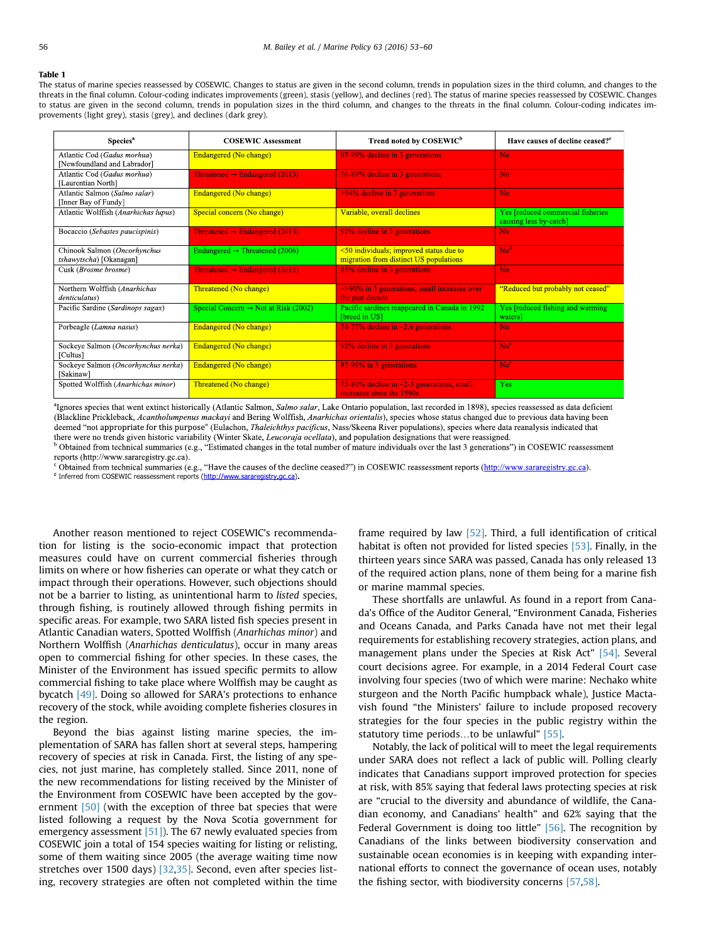#### <span id="page-3-0"></span>Table 1

The status of marine species reassessed by COSEWIC. Changes to status are given in the second column, trends in population sizes in the third column, and changes to the threats in the final column. Colour-coding indicates improvements (green), stasis (yellow), and declines (red). The status of marine species reassessed by COSEWIC. Changes to status are given in the second column, trends in population sizes in the third column, and changes to the threats in the final column. Colour-coding indicates improvements (light grey), stasis (grey), and declines (dark grey).

| Species <sup>a</sup>                                       | <b>COSEWIC Assessment</b>                        | Trend noted by COSEWIC <sup>b</sup>                                               | Have causes of decline ceased? <sup>c</sup>                 |
|------------------------------------------------------------|--------------------------------------------------|-----------------------------------------------------------------------------------|-------------------------------------------------------------|
| Atlantic Cod (Gadus morhua)<br>[Newfoundland and Labrador] | <b>Endangered (No change)</b>                    | 97-99% decline in 3 generations                                                   | N <sub>0</sub>                                              |
| Atlantic Cod (Gadus morhua)<br>[Laurentian North]          | Threatened $\rightarrow$ Endangered (2013)       | 76-89% decline in 3 generations                                                   | N <sub>0</sub>                                              |
| Atlantic Salmon (Salmo salar)<br>[Inner Bay of Fundy]      | Endangered (No change)                           | $>94\%$ decline in 3 generations                                                  | N <sub>o</sub>                                              |
| Atlantic Wolffish (Anarhichas lupus)                       | Special concern (No change)                      | Variable, overall declines                                                        | Yes [reduced commercial fisheries<br>causing less by-catch] |
| Bocaccio (Sebastes paucispinis)                            | Threatened $\rightarrow$ Endangered (2013)       | 92% decline in 3 generations                                                      | N <sub>o</sub>                                              |
| Chinook Salmon (Oncorhynchus<br>tshawytscha) [Okanagan]    | Endangered $\rightarrow$ Threatened (2006)       | <50 individuals; improved status due to<br>migration from distinct US populations | No <sup>d</sup>                                             |
| Cusk (Brosme brosme)                                       | Threatened $\rightarrow$ Endangered (2012)       | 85% decline in 3 generations                                                      | N <sub>0</sub>                                              |
| Northern Wolffish (Anarhichas<br>denticulatus)             | Threatened (No change)                           | $\sim$ 90% in 3 generations, small increases over<br>the past decade              | "Reduced but probably not ceased"                           |
| Pacific Sardine (Sardinops sagax)                          | Special Concern $\rightarrow$ Not at Risk (2002) | Pacific sardines reappeared in Canada in 1992<br>[breed in US]                    | Yes [reduced fishing and warming]<br>waters                 |
| Porbeagle (Lamna nasus)                                    | <b>Endangered (No change)</b>                    | 74-77% decline in $\sim$ 2.6 generations                                          | No.                                                         |
| Sockeye Salmon (Oncorhynchus nerka)<br>[Cultus]            | <b>Endangered (No change)</b>                    | 92% decline in 3 generations                                                      | No <sup>c</sup>                                             |
| Sockeye Salmon (Oncorhynchus nerka)<br>[Sakinaw]           | Endangered (No change)                           | 87-99% in 3 generations                                                           | No <sup>c</sup>                                             |
| Spotted Wolffish (Anarhichas minor)                        | Threatened (No change)                           | 75-80% decline in $\sim$ 2-3 generations, small<br>increases since the 1990s      | Yes                                                         |

<sup>a</sup>Ignores species that went extinct historically (Atlantic Salmon, Salmo salar, Lake Ontario population, last recorded in 1898), species reassessed as data deficient (Blackline Prickleback, Acantholumpenus mackayi and Bering Wolffish, Anarhichas orientalis), species whose status changed due to previous data having been deemed "not appropriate for this purpose" (Eulachon, Thaleichthys pacificus, Nass/Skeena River populations), species where data reanalysis indicated that there were no trends given historic variability (Winter Skate, *Leucoraja ocellata*), and population designations that were reassigned.

<sup>b</sup> Obtained from technical summaries (e.g., "Estimated changes in the total number of mature individuals over the last 3 generations") in COSEWIC reassessment reports (http://www.sararegistry.gc.ca).

Cobtained from technical summaries (e.g., "Have the causes of the decline ceased?") in COSEWIC reassessment reports (http://www.sararegistry.gc.ca). <sup>d</sup> Inferred from COSEWIC reassessment reports (http://w

Another reason mentioned to reject COSEWIC's recommendation for listing is the socio-economic impact that protection measures could have on current commercial fisheries through limits on where or how fisheries can operate or what they catch or impact through their operations. However, such objections should not be a barrier to listing, as unintentional harm to listed species, through fishing, is routinely allowed through fishing permits in specific areas. For example, two SARA listed fish species present in Atlantic Canadian waters, Spotted Wolffish (Anarhichas minor) and Northern Wolffish (Anarhichas denticulatus), occur in many areas open to commercial fishing for other species. In these cases, the Minister of the Environment has issued specific permits to allow commercial fishing to take place where Wolffish may be caught as bycatch [\[49\].](#page-6-0) Doing so allowed for SARA's protections to enhance recovery of the stock, while avoiding complete fisheries closures in the region.

Beyond the bias against listing marine species, the implementation of SARA has fallen short at several steps, hampering recovery of species at risk in Canada. First, the listing of any species, not just marine, has completely stalled. Since 2011, none of the new recommendations for listing received by the Minister of the Environment from COSEWIC have been accepted by the gov-ernment [\[50\]](#page-6-0) (with the exception of three bat species that were listed following a request by the Nova Scotia government for emergency assessment [\[51\]\)](#page-6-0). The 67 newly evaluated species from COSEWIC join a total of 154 species waiting for listing or relisting, some of them waiting since 2005 (the average waiting time now stretches over 1500 days) [\[32,35\].](#page-6-0) Second, even after species listing, recovery strategies are often not completed within the time frame required by law  $[52]$ . Third, a full identification of critical habitat is often not provided for listed species [\[53\]](#page-6-0). Finally, in the thirteen years since SARA was passed, Canada has only released 13 of the required action plans, none of them being for a marine fish or marine mammal species.

These shortfalls are unlawful. As found in a report from Canada's Office of the Auditor General, "Environment Canada, Fisheries and Oceans Canada, and Parks Canada have not met their legal requirements for establishing recovery strategies, action plans, and management plans under the Species at Risk Act" [\[54\].](#page-6-0) Several court decisions agree. For example, in a 2014 Federal Court case involving four species (two of which were marine: Nechako white sturgeon and the North Pacific humpback whale), Justice Mactavish found "the Ministers' failure to include proposed recovery strategies for the four species in the public registry within the statutory time periods…to be unlawful" [\[55\].](#page-6-0)

Notably, the lack of political will to meet the legal requirements under SARA does not reflect a lack of public will. Polling clearly indicates that Canadians support improved protection for species at risk, with 85% saying that federal laws protecting species at risk are "crucial to the diversity and abundance of wildlife, the Canadian economy, and Canadians' health" and 62% saying that the Federal Government is doing too little" [\[56\]](#page-6-0). The recognition by Canadians of the links between biodiversity conservation and sustainable ocean economies is in keeping with expanding international efforts to connect the governance of ocean uses, notably the fishing sector, with biodiversity concerns [\[57,58\]](#page-6-0).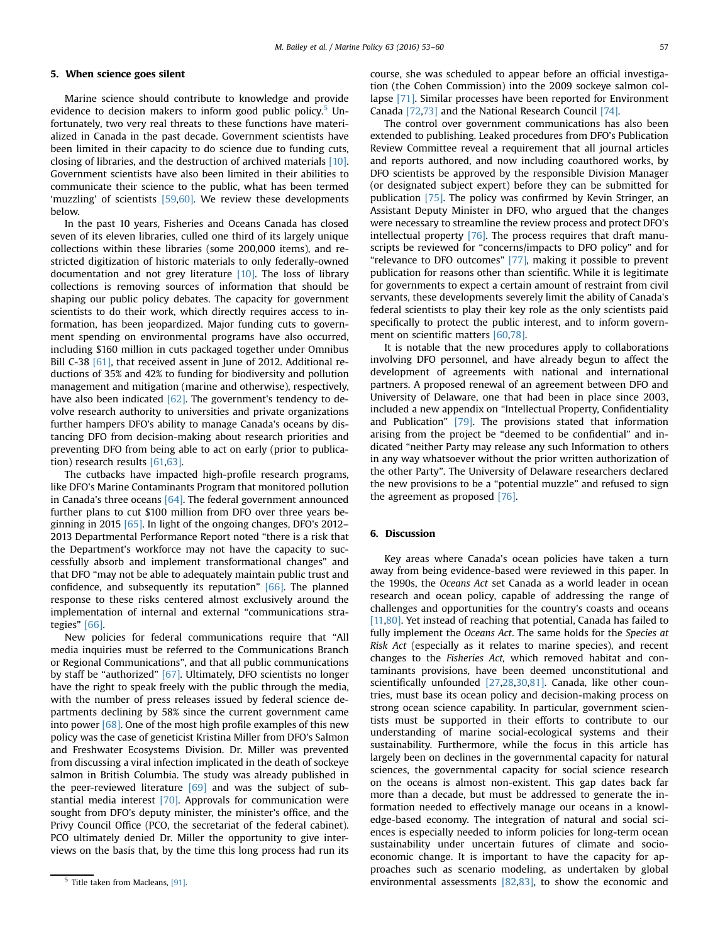#### 5. When science goes silent

Marine science should contribute to knowledge and provide evidence to decision makers to inform good public policy.<sup>5</sup> Unfortunately, two very real threats to these functions have materialized in Canada in the past decade. Government scientists have been limited in their capacity to do science due to funding cuts, closing of libraries, and the destruction of archived materials [\[10\].](#page-6-0) Government scientists have also been limited in their abilities to communicate their science to the public, what has been termed 'muzzling' of scientists [\[59,60\].](#page-6-0) We review these developments below.

In the past 10 years, Fisheries and Oceans Canada has closed seven of its eleven libraries, culled one third of its largely unique collections within these libraries (some 200,000 items), and restricted digitization of historic materials to only federally-owned documentation and not grey literature [\[10\]](#page-6-0). The loss of library collections is removing sources of information that should be shaping our public policy debates. The capacity for government scientists to do their work, which directly requires access to information, has been jeopardized. Major funding cuts to government spending on environmental programs have also occurred, including \$160 million in cuts packaged together under Omnibus Bill C-38 [\[61\]](#page-6-0), that received assent in June of 2012. Additional reductions of 35% and 42% to funding for biodiversity and pollution management and mitigation (marine and otherwise), respectively, have also been indicated [\[62\]](#page-6-0). The government's tendency to devolve research authority to universities and private organizations further hampers DFO's ability to manage Canada's oceans by distancing DFO from decision-making about research priorities and preventing DFO from being able to act on early (prior to publication) research results [\[61,63\].](#page-6-0)

The cutbacks have impacted high-profile research programs, like DFO's Marine Contaminants Program that monitored pollution in Canada's three oceans [\[64\].](#page-6-0) The federal government announced further plans to cut \$100 million from DFO over three years beginning in 2015 [\[65\].](#page-6-0) In light of the ongoing changes, DFO's 2012– 2013 Departmental Performance Report noted "there is a risk that the Department's workforce may not have the capacity to successfully absorb and implement transformational changes" and that DFO "may not be able to adequately maintain public trust and confidence, and subsequently its reputation"  $[66]$ . The planned response to these risks centered almost exclusively around the implementation of internal and external "communications strategies" [\[66\]](#page-6-0).

New policies for federal communications require that "All media inquiries must be referred to the Communications Branch or Regional Communications", and that all public communications by staff be "authorized" [\[67\].](#page-6-0) Ultimately, DFO scientists no longer have the right to speak freely with the public through the media, with the number of press releases issued by federal science departments declining by 58% since the current government came into power  $[68]$ . One of the most high profile examples of this new policy was the case of geneticist Kristina Miller from DFO's Salmon and Freshwater Ecosystems Division. Dr. Miller was prevented from discussing a viral infection implicated in the death of sockeye salmon in British Columbia. The study was already published in the peer-reviewed literature  $[69]$  and was the subject of substantial media interest [\[70\].](#page-7-0) Approvals for communication were sought from DFO's deputy minister, the minister's office, and the Privy Council Office (PCO, the secretariat of the federal cabinet). PCO ultimately denied Dr. Miller the opportunity to give interviews on the basis that, by the time this long process had run its course, she was scheduled to appear before an official investigation (the Cohen Commission) into the 2009 sockeye salmon collapse [\[71\].](#page-7-0) Similar processes have been reported for Environment Canada [\[72,73\]](#page-7-0) and the National Research Council [\[74\]](#page-7-0).

The control over government communications has also been extended to publishing. Leaked procedures from DFO's Publication Review Committee reveal a requirement that all journal articles and reports authored, and now including coauthored works, by DFO scientists be approved by the responsible Division Manager (or designated subject expert) before they can be submitted for publication [\[75\].](#page-7-0) The policy was confirmed by Kevin Stringer, an Assistant Deputy Minister in DFO, who argued that the changes were necessary to streamline the review process and protect DFO's intellectual property [\[76\].](#page-7-0) The process requires that draft manuscripts be reviewed for "concerns/impacts to DFO policy" and for "relevance to DFO outcomes" [\[77\]](#page-7-0), making it possible to prevent publication for reasons other than scientific. While it is legitimate for governments to expect a certain amount of restraint from civil servants, these developments severely limit the ability of Canada's federal scientists to play their key role as the only scientists paid specifically to protect the public interest, and to inform government on scientific matters [\[60](#page-6-0)[,78\].](#page-7-0)

It is notable that the new procedures apply to collaborations involving DFO personnel, and have already begun to affect the development of agreements with national and international partners. A proposed renewal of an agreement between DFO and University of Delaware, one that had been in place since 2003, included a new appendix on "Intellectual Property, Confidentiality and Publication" [\[79\].](#page-7-0) The provisions stated that information arising from the project be "deemed to be confidential" and indicated "neither Party may release any such Information to others in any way whatsoever without the prior written authorization of the other Party". The University of Delaware researchers declared the new provisions to be a "potential muzzle" and refused to sign the agreement as proposed [\[76\].](#page-7-0)

## 6. Discussion

Key areas where Canada's ocean policies have taken a turn away from being evidence-based were reviewed in this paper. In the 1990s, the Oceans Act set Canada as a world leader in ocean research and ocean policy, capable of addressing the range of challenges and opportunities for the country's coasts and oceans [\[11](#page-6-0),[80\]](#page-7-0). Yet instead of reaching that potential, Canada has failed to fully implement the Oceans Act. The same holds for the Species at Risk Act (especially as it relates to marine species), and recent changes to the Fisheries Act, which removed habitat and contaminants provisions, have been deemed unconstitutional and scientifically unfounded [\[27,28,30,](#page-6-0)[81\]](#page-7-0). Canada, like other countries, must base its ocean policy and decision-making process on strong ocean science capability. In particular, government scientists must be supported in their efforts to contribute to our understanding of marine social-ecological systems and their sustainability. Furthermore, while the focus in this article has largely been on declines in the governmental capacity for natural sciences, the governmental capacity for social science research on the oceans is almost non-existent. This gap dates back far more than a decade, but must be addressed to generate the information needed to effectively manage our oceans in a knowledge-based economy. The integration of natural and social sciences is especially needed to inform policies for long-term ocean sustainability under uncertain futures of climate and socioeconomic change. It is important to have the capacity for approaches such as scenario modeling, as undertaken by global  $\frac{1}{2}$  Title taken from Macleans, [\[91\]](#page-7-0). The state of the state of the state of the staten from Macleans, [91]. The state of the staten from Macleans, [91].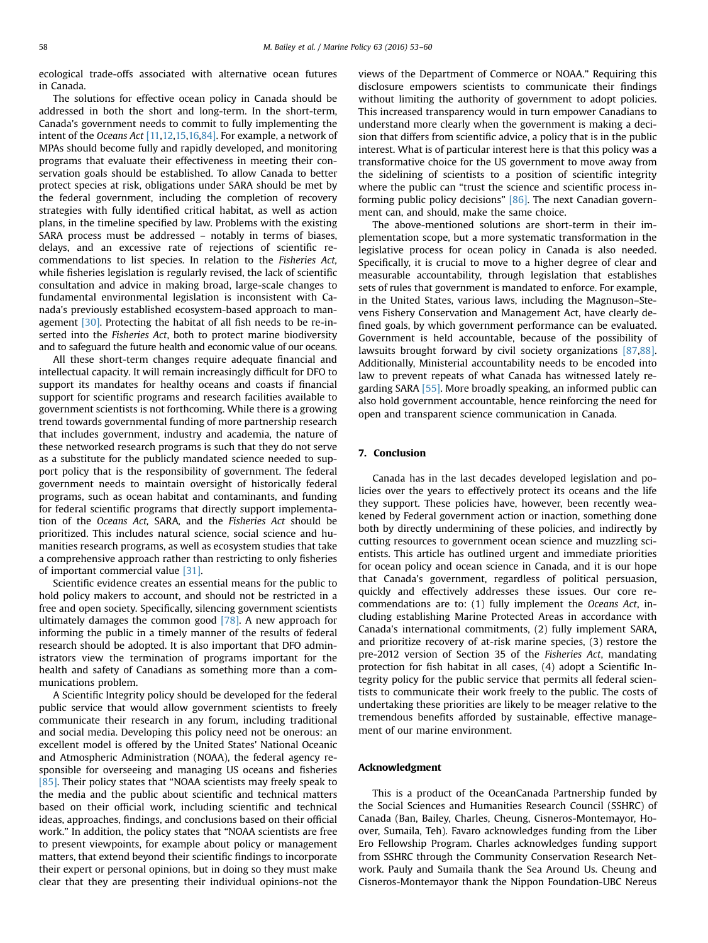ecological trade-offs associated with alternative ocean futures in Canada.

The solutions for effective ocean policy in Canada should be addressed in both the short and long-term. In the short-term, Canada's government needs to commit to fully implementing the intent of the Oceans Act [\[11,12,15,16](#page-6-0)[,84\].](#page-7-0) For example, a network of MPAs should become fully and rapidly developed, and monitoring programs that evaluate their effectiveness in meeting their conservation goals should be established. To allow Canada to better protect species at risk, obligations under SARA should be met by the federal government, including the completion of recovery strategies with fully identified critical habitat, as well as action plans, in the timeline specified by law. Problems with the existing SARA process must be addressed – notably in terms of biases, delays, and an excessive rate of rejections of scientific recommendations to list species. In relation to the Fisheries Act, while fisheries legislation is regularly revised, the lack of scientific consultation and advice in making broad, large-scale changes to fundamental environmental legislation is inconsistent with Canada's previously established ecosystem-based approach to management [\[30\].](#page-6-0) Protecting the habitat of all fish needs to be re-inserted into the Fisheries Act, both to protect marine biodiversity and to safeguard the future health and economic value of our oceans.

All these short-term changes require adequate financial and intellectual capacity. It will remain increasingly difficult for DFO to support its mandates for healthy oceans and coasts if financial support for scientific programs and research facilities available to government scientists is not forthcoming. While there is a growing trend towards governmental funding of more partnership research that includes government, industry and academia, the nature of these networked research programs is such that they do not serve as a substitute for the publicly mandated science needed to support policy that is the responsibility of government. The federal government needs to maintain oversight of historically federal programs, such as ocean habitat and contaminants, and funding for federal scientific programs that directly support implementation of the Oceans Act, SARA, and the Fisheries Act should be prioritized. This includes natural science, social science and humanities research programs, as well as ecosystem studies that take a comprehensive approach rather than restricting to only fisheries of important commercial value [\[31\].](#page-6-0)

Scientific evidence creates an essential means for the public to hold policy makers to account, and should not be restricted in a free and open society. Specifically, silencing government scientists ultimately damages the common good [\[78\]](#page-7-0). A new approach for informing the public in a timely manner of the results of federal research should be adopted. It is also important that DFO administrators view the termination of programs important for the health and safety of Canadians as something more than a communications problem.

A Scientific Integrity policy should be developed for the federal public service that would allow government scientists to freely communicate their research in any forum, including traditional and social media. Developing this policy need not be onerous: an excellent model is offered by the United States' National Oceanic and Atmospheric Administration (NOAA), the federal agency responsible for overseeing and managing US oceans and fisheries [\[85\]](#page-7-0). Their policy states that "NOAA scientists may freely speak to the media and the public about scientific and technical matters based on their official work, including scientific and technical ideas, approaches, findings, and conclusions based on their official work." In addition, the policy states that "NOAA scientists are free to present viewpoints, for example about policy or management matters, that extend beyond their scientific findings to incorporate their expert or personal opinions, but in doing so they must make clear that they are presenting their individual opinions-not the views of the Department of Commerce or NOAA." Requiring this disclosure empowers scientists to communicate their findings without limiting the authority of government to adopt policies. This increased transparency would in turn empower Canadians to understand more clearly when the government is making a decision that differs from scientific advice, a policy that is in the public interest. What is of particular interest here is that this policy was a transformative choice for the US government to move away from the sidelining of scientists to a position of scientific integrity where the public can "trust the science and scientific process informing public policy decisions" [\[86\].](#page-7-0) The next Canadian government can, and should, make the same choice.

The above-mentioned solutions are short-term in their implementation scope, but a more systematic transformation in the legislative process for ocean policy in Canada is also needed. Specifically, it is crucial to move to a higher degree of clear and measurable accountability, through legislation that establishes sets of rules that government is mandated to enforce. For example, in the United States, various laws, including the Magnuson–Stevens Fishery Conservation and Management Act, have clearly defined goals, by which government performance can be evaluated. Government is held accountable, because of the possibility of lawsuits brought forward by civil society organizations [\[87,88\].](#page-7-0) Additionally, Ministerial accountability needs to be encoded into law to prevent repeats of what Canada has witnessed lately regarding SARA [\[55\].](#page-6-0) More broadly speaking, an informed public can also hold government accountable, hence reinforcing the need for open and transparent science communication in Canada.

## 7. Conclusion

Canada has in the last decades developed legislation and policies over the years to effectively protect its oceans and the life they support. These policies have, however, been recently weakened by Federal government action or inaction, something done both by directly undermining of these policies, and indirectly by cutting resources to government ocean science and muzzling scientists. This article has outlined urgent and immediate priorities for ocean policy and ocean science in Canada, and it is our hope that Canada's government, regardless of political persuasion, quickly and effectively addresses these issues. Our core recommendations are to: (1) fully implement the Oceans Act, including establishing Marine Protected Areas in accordance with Canada's international commitments, (2) fully implement SARA, and prioritize recovery of at-risk marine species, (3) restore the pre-2012 version of Section 35 of the Fisheries Act, mandating protection for fish habitat in all cases, (4) adopt a Scientific Integrity policy for the public service that permits all federal scientists to communicate their work freely to the public. The costs of undertaking these priorities are likely to be meager relative to the tremendous benefits afforded by sustainable, effective management of our marine environment.

#### Acknowledgment

This is a product of the OceanCanada Partnership funded by the Social Sciences and Humanities Research Council (SSHRC) of Canada (Ban, Bailey, Charles, Cheung, Cisneros-Montemayor, Hoover, Sumaila, Teh). Favaro acknowledges funding from the Liber Ero Fellowship Program. Charles acknowledges funding support from SSHRC through the Community Conservation Research Network. Pauly and Sumaila thank the Sea Around Us. Cheung and Cisneros-Montemayor thank the Nippon Foundation-UBC Nereus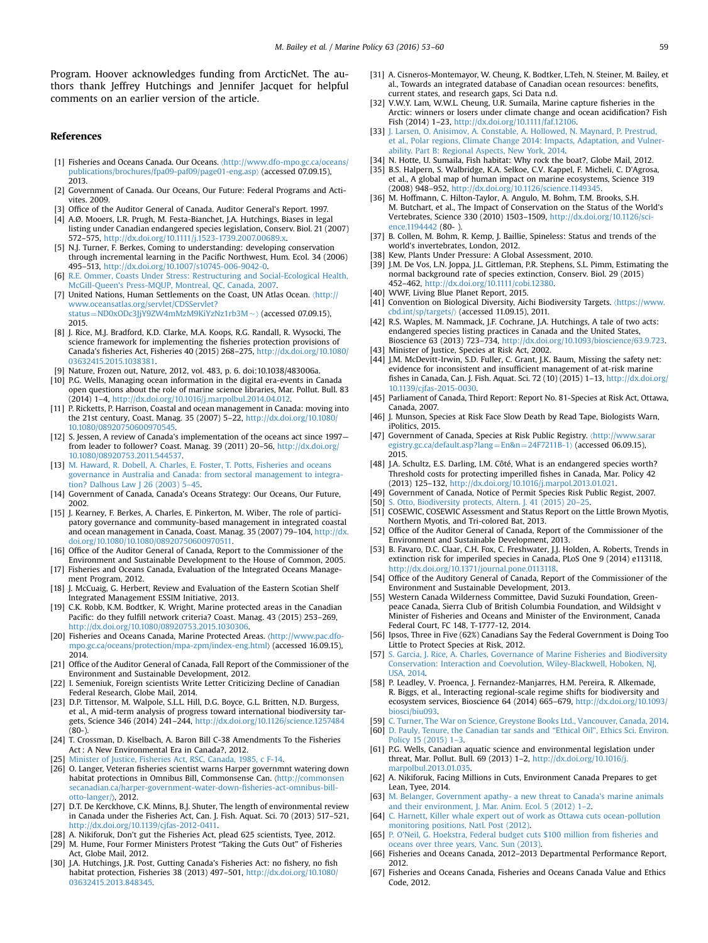<span id="page-6-0"></span>Program. Hoover acknowledges funding from ArcticNet. The authors thank Jeffrey Hutchings and Jennifer Jacquet for helpful comments on an earlier version of the article.

#### References

- [1] Fisheries and Oceans Canada. Our Oceans. 〈[http://www.dfo-mpo.gc.ca/oceans/](http://www.dfo-mpo.gc.ca/oceans/publications/brochures/fpa09-paf09/page01-eng.asp) [publications/brochures/fpa09-paf09/page01-eng.asp](http://www.dfo-mpo.gc.ca/oceans/publications/brochures/fpa09-paf09/page01-eng.asp)〉 (accessed 07.09.15), 2013.
- [2] Government of Canada. Our Oceans, Our Future: Federal Programs and Activites. 2009.
- [3] Office of the Auditor General of Canada. Auditor General's Report. 1997.
- [4] A.Ø. Mooers, L.R. Prugh, M. Festa-Bianchet, J.A. Hutchings, Biases in legal listing under Canadian endangered species legislation, Conserv. Biol. 21 (2007) 572–575, [http://dx.doi.org/10.1111/j.1523-1739.2007.00689.x.](http://dx.doi.org/10.1111/j.1523-1739.2007.00689.x)
- [5] N.J. Turner, F. Berkes, Coming to understanding: developing conservation through incremental learning in the Pacific Northwest, Hum. Ecol. 34 (2006) 495–513, [http://dx.doi.org/10.1007/s10745-006-9042-0.](http://dx.doi.org/10.1007/s10745-006-9042-0)
- [6] [R.E. Ommer, Coasts Under Stress: Restructuring and Social-Ecological Health,](http://refhub.elsevier.com/S0308-597X(15)00286-9/sbref3) [McGill-Queen's Press-MQUP, Montreal, QC, Canada, 2007.](http://refhub.elsevier.com/S0308-597X(15)00286-9/sbref3)
- [7] United Nations, Human Settlements on the Coast, UN Atlas Ocean. ([http://](http://www.oceansatlas.org/servlet/CDSServlet?status=ND0xODc3JjY9ZW4mMzM9KiYzNz1rb3M~) [www.oceansatlas.org/servlet/CDSServlet?](http://www.oceansatlas.org/servlet/CDSServlet?status=ND0xODc3JjY9ZW4mMzM9KiYzNz1rb3M~) [status](http://www.oceansatlas.org/servlet/CDSServlet?status=ND0xODc3JjY9ZW4mMzM9KiYzNz1rb3M~)=[ND0xODc3JjY9ZW4mMzM9KiYzNz1rb3M](http://www.oceansatlas.org/servlet/CDSServlet?status=ND0xODc3JjY9ZW4mMzM9KiYzNz1rb3M~)~> (accessed 07.09.15),<br>----
- 2015. [8] J. Rice, M.J. Bradford, K.D. Clarke, M.A. Koops, R.G. Randall, R. Wysocki, The science framework for implementing the fisheries protection provisions of
- Canada's fisheries Act, Fisheries 40 (2015) 268–275, [http://dx.doi.org/10.1080/](http://dx.doi.org/10.1080/03632415.2015.1038381) [03632415.2015.1038381.](http://dx.doi.org/10.1080/03632415.2015.1038381) [9] Nature, Frozen out, Nature, 2012, vol. 483, p. 6. doi:10.1038/483006a.
- [10] P.G. Wells, Managing ocean information in the digital era-events in Canada open questions about the role of marine science libraries, Mar. Pollut. Bull. 83 (2014) 1–4, <http://dx.doi.org/10.1016/j.marpolbul.2014.04.012>.
- [11] P. Ricketts, P. Harrison, Coastal and ocean management in Canada: moving into the 21st century, Coast. Manag. 35 (2007) 5–22, [http://dx.doi.org/10.1080/](http://dx.doi.org/10.1080/10.1080/08920750600970545) [10.1080/08920750600970545](http://dx.doi.org/10.1080/10.1080/08920750600970545).
- [12] S. Jessen, A review of Canada's implementation of the oceans act since 1997– from leader to follower? Coast. Manag. 39 (2011) 20–56, [http://dx.doi.org/](http://dx.doi.org/10.1080/08920753.2011.544537) [10.1080/08920753.2011.544537.](http://dx.doi.org/10.1080/08920753.2011.544537)
- [13] [M. Haward, R. Dobell, A. Charles, E. Foster, T. Potts, Fisheries and oceans](http://refhub.elsevier.com/S0308-597X(15)00286-9/sbref8) [governance in Australia and Canada: from sectoral management to integra](http://refhub.elsevier.com/S0308-597X(15)00286-9/sbref8)[tion? Dalhous Law J 26 \(2003\) 5](http://refhub.elsevier.com/S0308-597X(15)00286-9/sbref8)–45.
- [14] Government of Canada, Canada's Oceans Strategy: Our Oceans, Our Future, 2002.
- [15] J. Kearney, F. Berkes, A. Charles, E. Pinkerton, M. Wiber, The role of participatory governance and community-based management in integrated coastal and ocean management in Canada, Coast. Manag. 35 (2007) 79–104, [http://dx.](http://dx.doi.org/10.1080/10.1080/08920750600970511) [doi.org/10.1080/10.1080/08920750600970511](http://dx.doi.org/10.1080/10.1080/08920750600970511).
- [16] Office of the Auditor General of Canada, Report to the Commissioner of the Environment and Sustainable Development to the House of Common, 2005.
- [17] Fisheries and Oceans Canada, Evaluation of the Integrated Oceans Management Program, 2012.
- [18] J. McCuaig, G. Herbert, Review and Evaluation of the Eastern Scotian Shelf Integrated Management ESSIM Initiative, 2013.
- [19] C.K. Robb, K.M. Bodtker, K. Wright, Marine protected areas in the Canadian Pacific: do they fulfill network criteria? Coast. Manag. 43 (2015) 253–269, [http://dx.doi.org/10.1080/08920753.2015.1030306.](http://dx.doi.org/10.1080/08920753.2015.1030306)
- [20] Fisheries and Oceans Canada, Marine Protected Areas. 〈[http://www.pac.dfo](http://www.pac.dfo-mpo.gc.ca/oceans/protection/mpa-zpm/index-eng.html)[mpo.gc.ca/oceans/protection/mpa-zpm/index-eng.html](http://www.pac.dfo-mpo.gc.ca/oceans/protection/mpa-zpm/index-eng.html)〉 (accessed 16.09.15), 2014.
- [21] Office of the Auditor General of Canada, Fall Report of the Commissioner of the Environment and Sustainable Development, 2012.
- [22] I. Semeniuk, Foreign scientists Write Letter Criticizing Decline of Canadian Federal Research, Globe Mail, 2014.
- [23] D.P. Tittensor, M. Walpole, S.L.L. Hill, D.G. Boyce, G.L. Britten, N.D. Burgess, et al., A mid-term analysis of progress toward international biodiversity targets, Science 346 (2014) 241–244, <http://dx.doi.org/10.1126/science.1257484> (80-).
- [24] T. Crossman, D. Kiselbach, A. Baron Bill C-38 Amendments To the Fisheries Act : A New Environmental Era in Canada?, 2012.
- [25] [Minister of Justice, Fisheries Act, RSC, Canada, 1985, c F-14.](http://refhub.elsevier.com/S0308-597X(15)00286-9/sbref12)
- [26] O. Langer, Veteran fisheries scientist warns Harper governmnt watering down habitat protections in Omnibus Bill, Commonsense Can. 〈[http://commonsen](http://commonsensecanadian.ca/harper-government-water-down-fisheries-act-omnibus-bill-otto-langer/) [secanadian.ca/harper-government-water-down-](http://commonsensecanadian.ca/harper-government-water-down-fisheries-act-omnibus-bill-otto-langer/)fisheries-act-omnibus-bill[otto-langer/](http://commonsensecanadian.ca/harper-government-water-down-fisheries-act-omnibus-bill-otto-langer/)〉, 2012.
- [27] D.T. De Kerckhove, C.K. Minns, B.J. Shuter, The length of environmental review in Canada under the Fisheries Act, Can. J. Fish. Aquat. Sci. 70 (2013) 517–521, [http://dx.doi.org/10.1139/cjfas-2012-0411.](http://dx.doi.org/10.1139/cjfas-2012-0411)
- [28] A. Nikiforuk, Don't gut the Fisheries Act, plead 625 scientists, Tyee, 2012.
- [29] M. Hume, Four Former Ministers Protest "Taking the Guts Out" of Fisheries Act, Globe Mail, 2012.
- [30] J.A. Hutchings, J.R. Post, Gutting Canada's Fisheries Act: no fishery, no fish habitat protection, Fisheries 38 (2013) 497-501, [http://dx.doi.org/10.1080/](http://dx.doi.org/10.1080/03632415.2013.848345) [03632415.2013.848345](http://dx.doi.org/10.1080/03632415.2013.848345).
- [31] A. Cisneros-Montemayor, W. Cheung, K. Bodtker, L.Teh, N. Steiner, M. Bailey, et al., Towards an integrated database of Canadian ocean resources: benefits, current states, and research gaps, Sci Data n.d.
- [32] V.W.Y. Lam, W.W.L. Cheung, U.R. Sumaila, Marine capture fisheries in the Arctic: winners or losers under climate change and ocean acidification? Fish Fish (2014) 1–23, [http://dx.doi.org/10.1111/faf.12106.](http://dx.doi.org/10.1111/faf.12106)
- [33] [J. Larsen, O. Anisimov, A. Constable, A. Hollowed, N. Maynard, P. Prestrud,](http://refhub.elsevier.com/S0308-597X(15)00286-9/sbref16) [et al., Polar regions, Climate Change 2014: Impacts, Adaptation, and Vulner](http://refhub.elsevier.com/S0308-597X(15)00286-9/sbref16)[ability. Part B: Regional Aspects, New York, 2014.](http://refhub.elsevier.com/S0308-597X(15)00286-9/sbref16)
- [34] N. Hotte, U. Sumaila, Fish habitat: Why rock the boat?, Globe Mail, 2012.
- [35] B.S. Halpern, S. Walbridge, K.A. Selkoe, C.V. Kappel, F. Micheli, C. D'Agrosa, et al., A global map of human impact on marine ecosystems, Science 319 (2008) 948–952, <http://dx.doi.org/10.1126/science.1149345>.
- [36] M. Hoffmann, C. Hilton-Taylor, A. Angulo, M. Bohm, T.M. Brooks, S.H. M. Butchart, et al., The Impact of Conservation on the Status of the World's Vertebrates, Science 330 (2010) 1503–1509, [http://dx.doi.org/10.1126/sci](http://dx.doi.org/10.1126/science.1194442)[ence.1194442](http://dx.doi.org/10.1126/science.1194442) (80- ).
- [37] B. Collen, M. Bohm, R. Kemp, J. Baillie, Spineless: Status and trends of the world's invertebrates, London, 2012.
- [38] Kew, Plants Under Pressure: A Global Assessment, 2010.
- [39] J.M. De Vos, L.N. Joppa, J.L. Gittleman, P.R. Stephens, S.L. Pimm, Estimating the normal background rate of species extinction, Conserv. Biol. 29 (2015) 452–462, [http://dx.doi.org/10.1111/cobi.12380.](http://dx.doi.org/10.1111/cobi.12380)
- [40] WWF, Living Blue Planet Report, 2015.
- [41] Convention on Biological Diversity, Aichi Biodiversity Targets. 〈[https://www.](https://www.cbd.int/sp/targets/) [cbd.int/sp/targets/](https://www.cbd.int/sp/targets/)〉 (accessed 11.09.15), 2011.
- [42] R.S. Waples, M. Nammack, J.F. Cochrane, J.A. Hutchings, A tale of two acts: endangered species listing practices in Canada and the United States, Bioscience 63 (2013) 723–734, <http://dx.doi.org/10.1093/bioscience/63.9.723>.
- [43] Minister of Justice, Species at Risk Act, 2002.
- [44] J.M. McDevitt-Irwin, S.D. Fuller, C. Grant, J.K. Baum, Missing the safety net: evidence for inconsistent and insufficient management of at-risk marine fishes in Canada, Can. J. Fish. Aquat. Sci. 72 (10) (2015) 1–13, [http://dx.doi.org/](http://dx.doi.org/10.1139/cjfas-2015-0030) [10.1139/cjfas-2015-0030.](http://dx.doi.org/10.1139/cjfas-2015-0030)
- [45] Parliament of Canada, Third Report: Report No. 81-Species at Risk Act, Ottawa, Canada, 2007.
- [46] J. Munson, Species at Risk Face Slow Death by Read Tape, Biologists Warn, iPolitics, 2015.
- [47] Government of Canada, Species at Risk Public Registry. 〈[http://www.sarar](http://www.sararegistry.gc.ca/default.asp?lang=En&n=24F7211B-1) [egistry.gc.ca/default.asp?lang](http://www.sararegistry.gc.ca/default.asp?lang=En&n=24F7211B-1)=[En](http://www.sararegistry.gc.ca/default.asp?lang=En&n=24F7211B-1)&[n](http://www.sararegistry.gc.ca/default.asp?lang=En&n=24F7211B-1)=[24F7211B-1](http://www.sararegistry.gc.ca/default.asp?lang=En&n=24F7211B-1)) (accessed 06.09.15), 2015.
- [48] J.A. Schultz, E.S. Darling, I.M. Côté, What is an endangered species worth? Threshold costs for protecting imperilled fishes in Canada, Mar. Policy 42 (2013) 125–132, [http://dx.doi.org/10.1016/j.marpol.2013.01.021.](http://dx.doi.org/10.1016/j.marpol.2013.01.021)
- [49] Government of Canada, Notice of Permit Species Risk Public Regist, 2007.
- [50] [S. Otto, Biodiversity protects, Altern. J. 41 \(2015\) 20](http://refhub.elsevier.com/S0308-597X(15)00286-9/sbref23)–25.
- [51] COSEWIC, COSEWIC Assessment and Status Report on the Little Brown Myotis, Northern Myotis, and Tri-colored Bat, 2013.
- [52] Office of the Auditor General of Canada, Report of the Commissioner of the Environment and Sustainable Development, 2013.
- [53] B. Favaro, D.C. Claar, C.H. Fox, C. Freshwater, J.J. Holden, A. Roberts, Trends in extinction risk for imperiled species in Canada, PLoS One 9 (2014) e113118, [http://dx.doi.org/10.1371/journal.pone.0113118.](http://dx.doi.org/10.1371/journal.pone.0113118)
- [54] Office of the Auditory General of Canada, Report of the Commissioner of the Environment and Sustainable Development, 2013.
- [55] Western Canada Wilderness Committee, David Suzuki Foundation, Greenpeace Canada, Sierra Club of British Columbia Foundation, and Wildsight v Minister of Fisheries and Oceans and Minister of the Environment, Canada Federal Court, FC 148, T-1777-12, 2014.
- [56] Ipsos, Three in Five (62%) Canadians Say the Federal Government is Doing Too Little to Protect Species at Risk, 2012.
- [57] [S. Garcia, J. Rice, A. Charles, Governance of Marine Fisheries and Biodiversity](http://refhub.elsevier.com/S0308-597X(15)00286-9/sbref25) [Conservation: Interaction and Coevolution, Wiley-Blackwell, Hoboken, NJ,](http://refhub.elsevier.com/S0308-597X(15)00286-9/sbref25) [USA, 2014.](http://refhub.elsevier.com/S0308-597X(15)00286-9/sbref25)
- [58] P. Leadley, V. Proenca, J. Fernandez-Manjarres, H.M. Pereira, R. Alkemade, R. Biggs, et al., Interacting regional-scale regime shifts for biodiversity and ecosystem services, Bioscience 64 (2014) 665–679, [http://dx.doi.org/10.1093/](http://dx.doi.org/10.1093/biosci/biu093) [biosci/biu093.](http://dx.doi.org/10.1093/biosci/biu093)
- [59] [C. Turner, The War on Science, Greystone Books Ltd., Vancouver, Canada, 2014.](http://refhub.elsevier.com/S0308-597X(15)00286-9/sbref27)
- [60] [D. Pauly, Tenure, the Canadian tar sands and](http://refhub.elsevier.com/S0308-597X(15)00286-9/sbref28) "Ethical Oil", Ethics Sci. Environ. [Policy 15 \(2015\) 1](http://refhub.elsevier.com/S0308-597X(15)00286-9/sbref28)–3.
- [61] P.G. Wells, Canadian aquatic science and environmental legislation under threat, Mar. Pollut. Bull. 69 (2013) 1–2, [http://dx.doi.org/10.1016/j.](http://dx.doi.org/10.1016/j.marpolbul.2013.01.035) [marpolbul.2013.01.035.](http://dx.doi.org/10.1016/j.marpolbul.2013.01.035)
- [62] A. Nikiforuk, Facing Millions in Cuts, Environment Canada Prepares to get Lean, Tyee, 2014.
- [63] [M. Belanger, Government apathy- a new threat to Canada's marine animals](http://refhub.elsevier.com/S0308-597X(15)00286-9/sbref30) [and their environment, J. Mar. Anim. Ecol. 5 \(2012\) 1](http://refhub.elsevier.com/S0308-597X(15)00286-9/sbref30)–2.
- [64] [C. Harnett, Killer whale expert out of work as Ottawa cuts ocean-pollution](http://refhub.elsevier.com/S0308-597X(15)00286-9/sbref31) [monitoring positions, Natl. Post \(2012\).](http://refhub.elsevier.com/S0308-597X(15)00286-9/sbref31)
- [65] [P. O'Neil, G. Hoekstra, Federal budget cuts \\$100 million from](http://refhub.elsevier.com/S0308-597X(15)00286-9/sbref32) fisheries and [oceans over three years, Vanc. Sun \(2013\).](http://refhub.elsevier.com/S0308-597X(15)00286-9/sbref32)
- [66] Fisheries and Oceans Canada, 2012–2013 Departmental Performance Report, 2012.
- [67] Fisheries and Oceans Canada, Fisheries and Oceans Canada Value and Ethics Code, 2012.